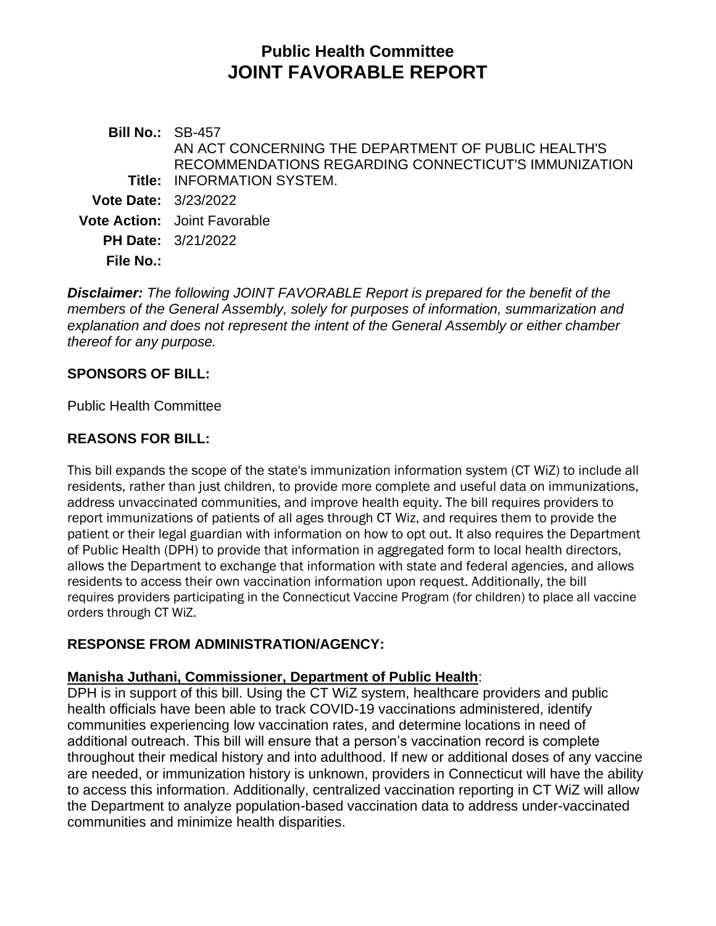# **Public Health Committee JOINT FAVORABLE REPORT**

**Bill No.:** SB-457 **Title:** INFORMATION SYSTEM. AN ACT CONCERNING THE DEPARTMENT OF PUBLIC HEALTH'S RECOMMENDATIONS REGARDING CONNECTICUT'S IMMUNIZATION **Vote Date:** 3/23/2022 **Vote Action:** Joint Favorable **PH Date:** 3/21/2022 **File No.:**

*Disclaimer: The following JOINT FAVORABLE Report is prepared for the benefit of the members of the General Assembly, solely for purposes of information, summarization and explanation and does not represent the intent of the General Assembly or either chamber thereof for any purpose.*

## **SPONSORS OF BILL:**

Public Health Committee

## **REASONS FOR BILL:**

This bill expands the scope of the state's immunization information system (CT WiZ) to include all residents, rather than just children, to provide more complete and useful data on immunizations, address unvaccinated communities, and improve health equity. The bill requires providers to report immunizations of patients of all ages through CT Wiz, and requires them to provide the patient or their legal guardian with information on how to opt out. It also requires the Department of Public Health (DPH) to provide that information in aggregated form to local health directors, allows the Department to exchange that information with state and federal agencies, and allows residents to access their own vaccination information upon request. Additionally, the bill requires providers participating in the Connecticut Vaccine Program (for children) to place all vaccine orders through CT WiZ.

#### **RESPONSE FROM ADMINISTRATION/AGENCY:**

#### **Manisha Juthani, Commissioner, Department of Public Health**:

DPH is in support of this bill. Using the CT WiZ system, healthcare providers and public health officials have been able to track COVID-19 vaccinations administered, identify communities experiencing low vaccination rates, and determine locations in need of additional outreach. This bill will ensure that a person's vaccination record is complete throughout their medical history and into adulthood. If new or additional doses of any vaccine are needed, or immunization history is unknown, providers in Connecticut will have the ability to access this information. Additionally, centralized vaccination reporting in CT WiZ will allow the Department to analyze population-based vaccination data to address under-vaccinated communities and minimize health disparities.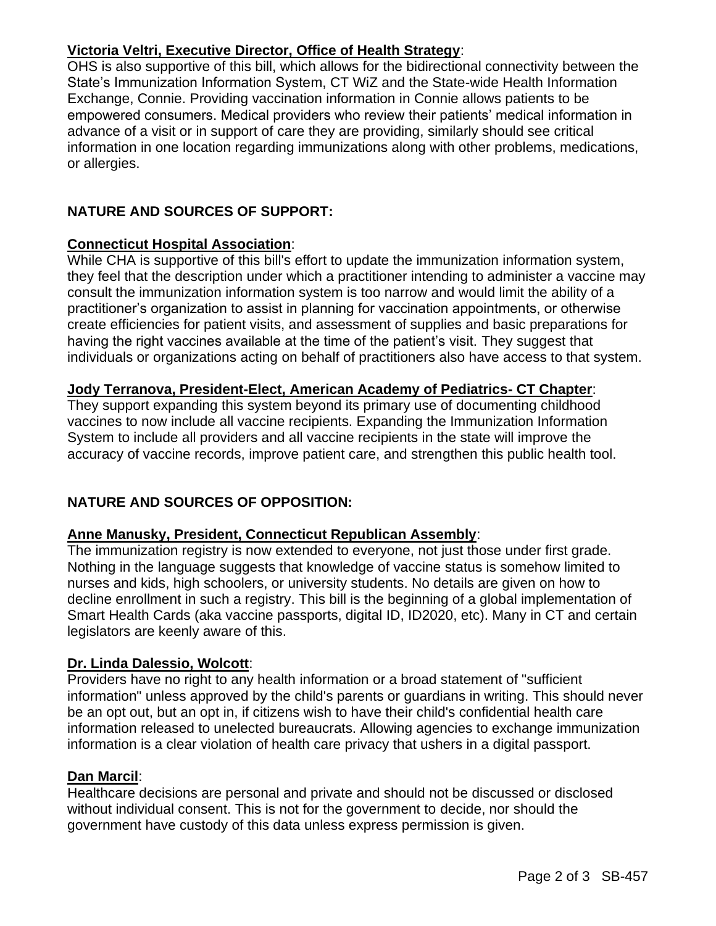# **Victoria Veltri, Executive Director, Office of Health Strategy**:

OHS is also supportive of this bill, which allows for the bidirectional connectivity between the State's Immunization Information System, CT WiZ and the State-wide Health Information Exchange, Connie. Providing vaccination information in Connie allows patients to be empowered consumers. Medical providers who review their patients' medical information in advance of a visit or in support of care they are providing, similarly should see critical information in one location regarding immunizations along with other problems, medications, or allergies.

# **NATURE AND SOURCES OF SUPPORT:**

## **Connecticut Hospital Association**:

While CHA is supportive of this bill's effort to update the immunization information system, they feel that the description under which a practitioner intending to administer a vaccine may consult the immunization information system is too narrow and would limit the ability of a practitioner's organization to assist in planning for vaccination appointments, or otherwise create efficiencies for patient visits, and assessment of supplies and basic preparations for having the right vaccines available at the time of the patient's visit. They suggest that individuals or organizations acting on behalf of practitioners also have access to that system.

## **Jody Terranova, President-Elect, American Academy of Pediatrics- CT Chapter**:

They support expanding this system beyond its primary use of documenting childhood vaccines to now include all vaccine recipients. Expanding the Immunization Information System to include all providers and all vaccine recipients in the state will improve the accuracy of vaccine records, improve patient care, and strengthen this public health tool.

# **NATURE AND SOURCES OF OPPOSITION:**

# **Anne Manusky, President, Connecticut Republican Assembly**:

The immunization registry is now extended to everyone, not just those under first grade. Nothing in the language suggests that knowledge of vaccine status is somehow limited to nurses and kids, high schoolers, or university students. No details are given on how to decline enrollment in such a registry. This bill is the beginning of a global implementation of Smart Health Cards (aka vaccine passports, digital ID, ID2020, etc). Many in CT and certain legislators are keenly aware of this.

#### **Dr. Linda Dalessio, Wolcott**:

Providers have no right to any health information or a broad statement of "sufficient information" unless approved by the child's parents or guardians in writing. This should never be an opt out, but an opt in, if citizens wish to have their child's confidential health care information released to unelected bureaucrats. Allowing agencies to exchange immunization information is a clear violation of health care privacy that ushers in a digital passport.

#### **Dan Marcil**:

Healthcare decisions are personal and private and should not be discussed or disclosed without individual consent. This is not for the government to decide, nor should the government have custody of this data unless express permission is given.